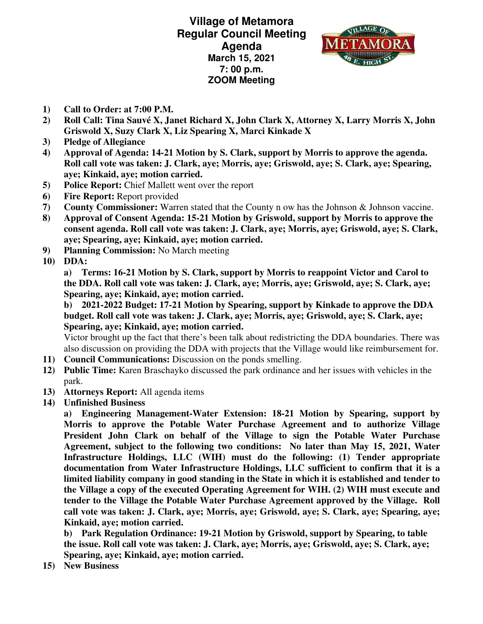**Village of Metamora Regular Council Meeting Agenda March 15, 2021 7: 00 p.m. ZOOM Meeting** 



- **1) Call to Order: at 7:00 P.M.**
- **2) Roll Call: Tina Sauvé X, Janet Richard X, John Clark X, Attorney X, Larry Morris X, John Griswold X, Suzy Clark X, Liz Spearing X, Marci Kinkade X**
- **3) Pledge of Allegiance**
- **4) Approval of Agenda: 14-21 Motion by S. Clark, support by Morris to approve the agenda. Roll call vote was taken: J. Clark, aye; Morris, aye; Griswold, aye; S. Clark, aye; Spearing, aye; Kinkaid, aye; motion carried.**
- **5) Police Report:** Chief Mallett went over the report
- **6) Fire Report:** Report provided
- **7) County Commissioner:** Warren stated that the County n ow has the Johnson & Johnson vaccine.
- **8) Approval of Consent Agenda: 15-21 Motion by Griswold, support by Morris to approve the consent agenda. Roll call vote was taken: J. Clark, aye; Morris, aye; Griswold, aye; S. Clark, aye; Spearing, aye; Kinkaid, aye; motion carried.**
- **9) Planning Commission:** No March meeting
- **10) DDA:**

**a) Terms: 16-21 Motion by S. Clark, support by Morris to reappoint Victor and Carol to the DDA. Roll call vote was taken: J. Clark, aye; Morris, aye; Griswold, aye; S. Clark, aye; Spearing, aye; Kinkaid, aye; motion carried.** 

**b) 2021-2022 Budget: 17-21 Motion by Spearing, support by Kinkade to approve the DDA budget. Roll call vote was taken: J. Clark, aye; Morris, aye; Griswold, aye; S. Clark, aye; Spearing, aye; Kinkaid, aye; motion carried.** 

Victor brought up the fact that there's been talk about redistricting the DDA boundaries. There was also discussion on providing the DDA with projects that the Village would like reimbursement for.

- **11) Council Communications:** Discussion on the ponds smelling.
- **12) Public Time:** Karen Braschayko discussed the park ordinance and her issues with vehicles in the park.
- **13) Attorneys Report:** All agenda items
- **14) Unfinished Business**

**a) Engineering Management-Water Extension: 18-21 Motion by Spearing, support by Morris to approve the Potable Water Purchase Agreement and to authorize Village President John Clark on behalf of the Village to sign the Potable Water Purchase Agreement, subject to the following two conditions: No later than May 15, 2021, Water Infrastructure Holdings, LLC (WIH) must do the following: (1) Tender appropriate documentation from Water Infrastructure Holdings, LLC sufficient to confirm that it is a limited liability company in good standing in the State in which it is established and tender to the Village a copy of the executed Operating Agreement for WIH. (2) WIH must execute and tender to the Village the Potable Water Purchase Agreement approved by the Village. Roll call vote was taken: J. Clark, aye; Morris, aye; Griswold, aye; S. Clark, aye; Spearing, aye; Kinkaid, aye; motion carried.** 

**b) Park Regulation Ordinance: 19-21 Motion by Griswold, support by Spearing, to table the issue. Roll call vote was taken: J. Clark, aye; Morris, aye; Griswold, aye; S. Clark, aye; Spearing, aye; Kinkaid, aye; motion carried.** 

**15) New Business**